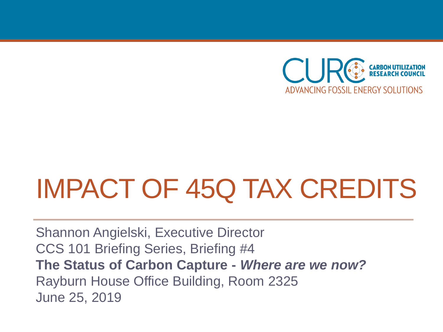

## IMPACT OF 45Q TAX CREDITS

Shannon Angielski, Executive Director CCS 101 Briefing Series, Briefing #4 **The Status of Carbon Capture -** *Where are we now?* Rayburn House Office Building, Room 2325 June 25, 2019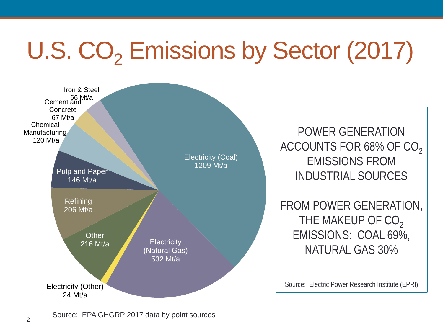# U.S. CO<sub>2</sub> Emissions by Sector (2017)



Source: EPA GHGRP 2017 data by point sources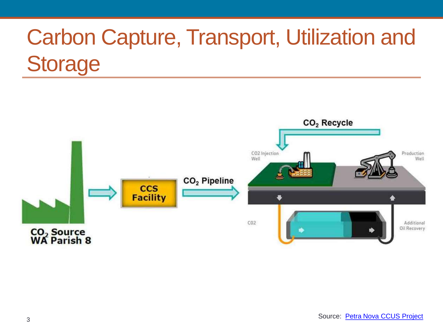#### Carbon Capture, Transport, Utilization and **Storage**

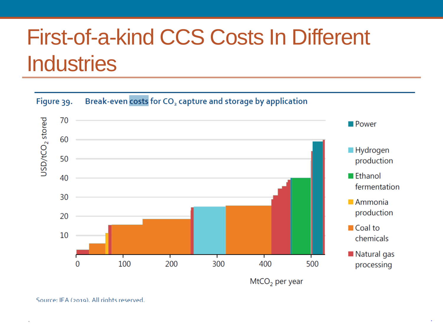#### First-of-a-kind CCS Costs In Different **Industries**





4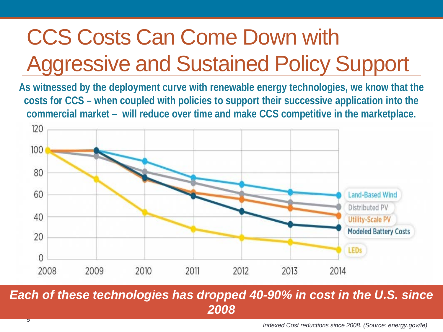### CCS Costs Can Come Down with Aggressive and Sustained Policy Support

**As witnessed by the deployment curve with renewable energy technologies, we know that the costs for CCS – when coupled with policies to support their successive application into the commercial market – will reduce over time and make CCS competitive in the marketplace.** 



*Each of these technologies has dropped 40-90% in cost in the U.S. since 2008*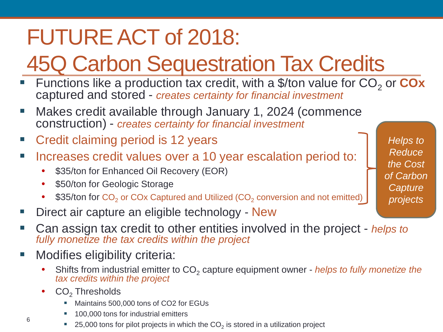#### FUTURE ACT of 2018:

### 45Q Carbon Sequestration Tax Credits

- Functions like a production tax credit, with a \$/ton value for CO<sub>2</sub> or **COx** captured and stored - *creates certainty for financial investment*
- **Makes credit available through January 1, 2024 (commence** construction) - *creates certainty for financial investment*
- Credit claiming period is 12 years
- Increases credit values over a 10 year escalation period to:
	- \$35/ton for Enhanced Oil Recovery (EOR)
	- \$50/ton for Geologic Storage
	- \$35/ton for  $CO<sub>2</sub>$  or COx Captured and Utilized (CO<sub>2</sub> conversion and not emitted)
- Direct air capture an eligible technology New
- Can assign tax credit to other entities involved in the project *helps to fully monetize the tax credits within the project*
- Modifies eligibility criteria:
	- Shifts from industrial emitter to CO<sub>2</sub> capture equipment owner *helps to fully monetize the tax credits within the project*
	- CO<sub>2</sub> Thresholds
		- Maintains 500,000 tons of CO2 for EGUs
		- 100,000 tons for industrial emitters
		- 25,000 tons for pilot projects in which the  $CO<sub>2</sub>$  is stored in a utilization project

*Helps to Reduce the Cost of Carbon Capture projects*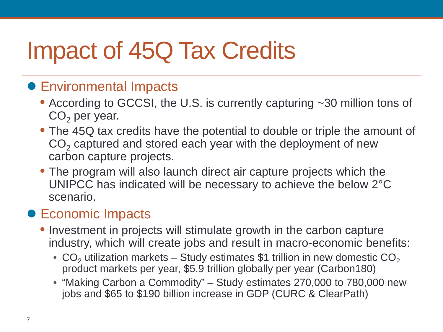## Impact of 45Q Tax Credits

#### ● Environmental Impacts

- According to GCCSI, the U.S. is currently capturing ~30 million tons of  $CO<sub>2</sub>$  per year.
- The 45Q tax credits have the potential to double or triple the amount of  $CO<sub>2</sub>$  captured and stored each year with the deployment of new carbon capture projects.
- The program will also launch direct air capture projects which the UNIPCC has indicated will be necessary to achieve the below 2°C scenario.

#### • Economic Impacts

- Investment in projects will stimulate growth in the carbon capture industry, which will create jobs and result in macro-economic benefits:
	- CO<sub>2</sub> utilization markets Study estimates \$1 trillion in new domestic  $CO<sub>2</sub>$ product markets per year, \$5.9 trillion globally per year (Carbon180)
	- "Making Carbon a Commodity" Study estimates 270,000 to 780,000 new jobs and \$65 to \$190 billion increase in GDP (CURC & ClearPath)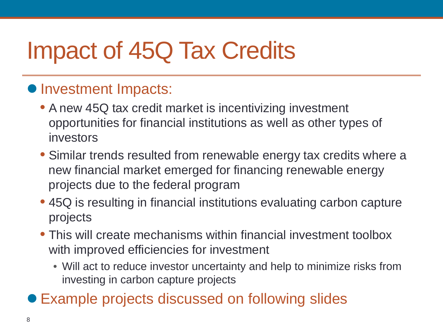## Impact of 45Q Tax Credits

#### • Investment Impacts:

- A new 45Q tax credit market is incentivizing investment opportunities for financial institutions as well as other types of investors
- Similar trends resulted from renewable energy tax credits where a new financial market emerged for financing renewable energy projects due to the federal program
- 45Q is resulting in financial institutions evaluating carbon capture projects
- This will create mechanisms within financial investment toolbox with improved efficiencies for investment
	- Will act to reduce investor uncertainty and help to minimize risks from investing in carbon capture projects
- Example projects discussed on following slides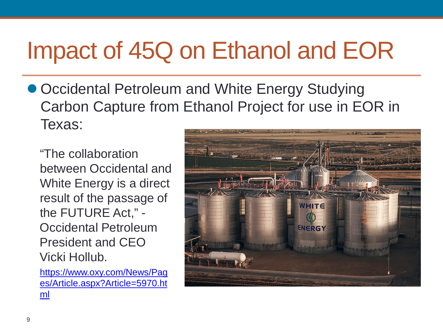## Impact of 45Q on Ethanol and EOR

● Occidental Petroleum and White Energy Studying Carbon Capture from Ethanol Project for use in EOR in Texas:

"The collaboration between Occidental and White Energy is a direct result of the passage of the FUTURE Act," - Occidental Petroleum President and CEO Vicki Hollub.

[https://www.oxy.com/News/Pag](https://www.oxy.com/News/Pages/Article.aspx?Article=5970.html) [es/Article.aspx?Article=5970.ht](https://www.oxy.com/News/Pages/Article.aspx?Article=5970.html) [ml](https://www.oxy.com/News/Pages/Article.aspx?Article=5970.html)

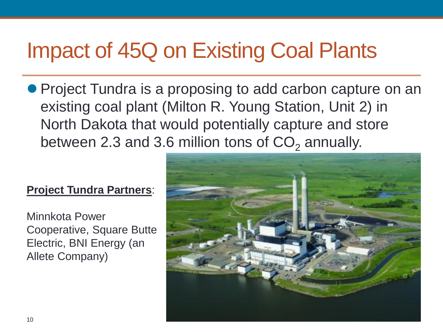#### Impact of 45Q on Existing Coal Plants

● Project Tundra is a proposing to add carbon capture on an existing coal plant (Milton R. Young Station, Unit 2) in North Dakota that would potentially capture and store between 2.3 and 3.6 million tons of  $CO<sub>2</sub>$  annually.

#### **Project Tundra Partners**:

Minnkota Power Cooperative, Square Butte Electric, BNI Energy (an Allete Company)

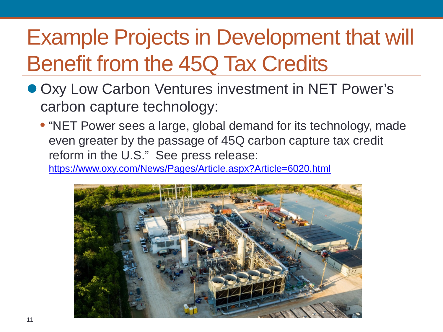#### Example Projects in Development that will Benefit from the 45Q Tax Credits

- Oxy Low Carbon Ventures investment in NET Power's carbon capture technology:
	- "NET Power sees a large, global demand for its technology, made even greater by the passage of 45Q carbon capture tax credit reform in the U.S." See press release: <https://www.oxy.com/News/Pages/Article.aspx?Article=6020.html>

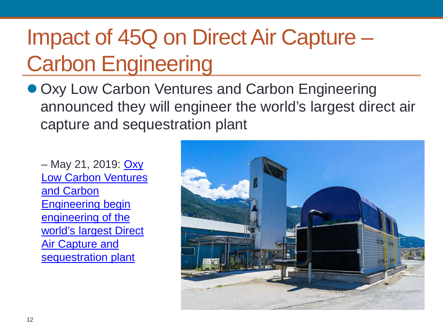#### Impact of 45Q on Direct Air Capture – Carbon Engineering

● Oxy Low Carbon Ventures and Carbon Engineering announced they will engineer the world's largest direct air capture and sequestration plant

– May 21, 2019: [Oxy](https://www.oxy.com/News/Pages/Article.aspx?Article=6095.html)  [Low Carbon Ventures](https://www.oxy.com/News/Pages/Article.aspx?Article=6095.html)  and Carbon [Engineering begin](https://www.oxy.com/News/Pages/Article.aspx?Article=6095.html)  engineering of the [world's largest Direct](https://www.oxy.com/News/Pages/Article.aspx?Article=6095.html)  **Air Capture and** [sequestration plant](https://www.oxy.com/News/Pages/Article.aspx?Article=6095.html)

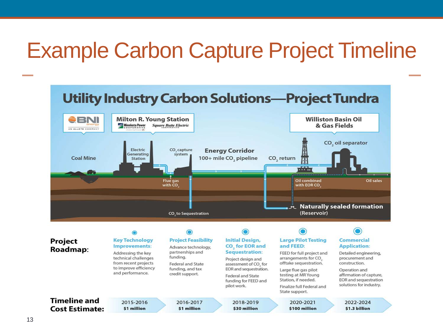#### Example Carbon Capture Project Timeline

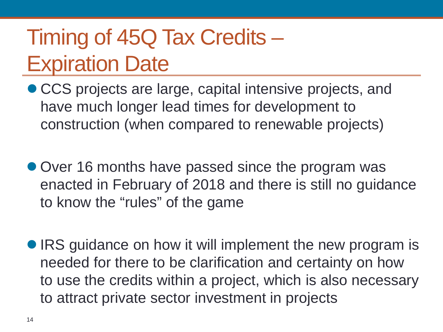#### Timing of 45Q Tax Credits – Expiration Date

- CCS projects are large, capital intensive projects, and have much longer lead times for development to construction (when compared to renewable projects)
- Over 16 months have passed since the program was enacted in February of 2018 and there is still no guidance to know the "rules" of the game
- IRS guidance on how it will implement the new program is needed for there to be clarification and certainty on how to use the credits within a project, which is also necessary to attract private sector investment in projects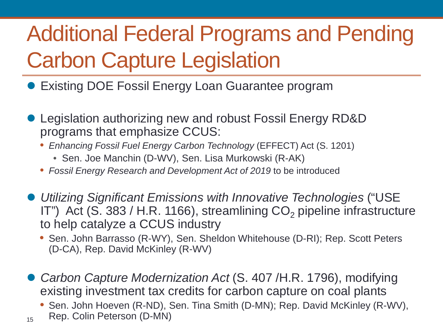### Additional Federal Programs and Pending Carbon Capture Legislation

- **Existing DOE Fossil Energy Loan Guarantee program**
- Legislation authorizing new and robust Fossil Energy RD&D programs that emphasize CCUS:
	- *Enhancing Fossil Fuel Energy Carbon Technology* (EFFECT) Act (S. 1201)
		- Sen. Joe Manchin (D-WV), Sen. Lisa Murkowski (R-AK)

15

- *Fossil Energy Research and Development Act of 2019* to be introduced
- *Utilizing Significant Emissions with Innovative Technologies* ("USE IT") Act (S. 383 / H.R. 1166), streamlining  $CO<sub>2</sub>$  pipeline infrastructure to help catalyze a CCUS industry
	- Sen. John Barrasso (R-WY), Sen. Sheldon Whitehouse (D-RI); Rep. Scott Peters (D-CA), Rep. David McKinley (R-WV)
- *Carbon Capture Modernization Act* (S. 407 /H.R. 1796), modifying existing investment tax credits for carbon capture on coal plants
	- Sen. John Hoeven (R-ND), Sen. Tina Smith (D-MN); Rep. David McKinley (R-WV), Rep. Colin Peterson (D-MN)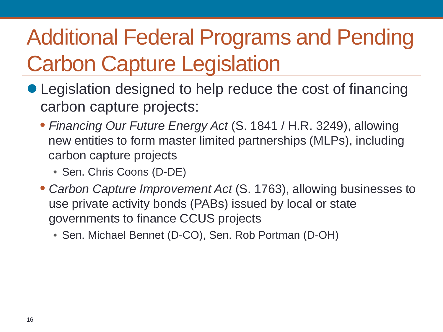### Additional Federal Programs and Pending Carbon Capture Legislation

- Legislation designed to help reduce the cost of financing carbon capture projects:
	- *Financing Our Future Energy Act* (S. 1841 / H.R. 3249), allowing new entities to form master limited partnerships (MLPs), including carbon capture projects
		- Sen. Chris Coons (D-DE)
	- *Carbon Capture Improvement Act* (S. 1763), allowing businesses to use private activity bonds (PABs) issued by local or state governments to finance CCUS projects
		- Sen. Michael Bennet (D-CO), Sen. Rob Portman (D-OH)